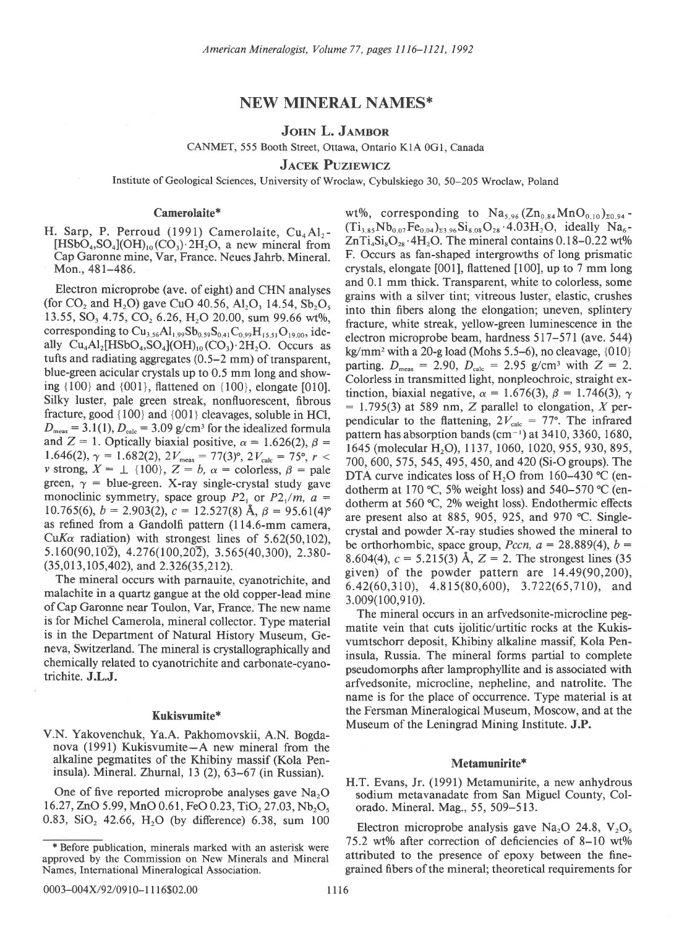# NEW MINERAL NAMES\*

# JOHN L. JAMBOR

CANMET, 555 Booth Street, Ottawa, Ontario KlA 0G1, Canada

**JACEK PUZIEWICZ** 

Institute of Geological Sciences, University of Wroclaw, Cybulskiego 30, 50-205 Wroclaw, Poland

# Camerolaite\*

H. Sarp, P. Perroud  $(1991)$  Camerolaite, Cu<sub>4</sub>Al<sub>2</sub>- $[HSbO<sub>4</sub>, SO<sub>4</sub>](OH)<sub>10</sub>(CO<sub>3</sub>)·2H<sub>2</sub>O$ , a new mineral from Cap Garonne mine, Var, France. Neues Jahrb. Mineral. Mon., 481-486.

Electron microprobe (ave. of eight) and CHN analyses (for  $CO_2$  and  $H_2O$ ) gave CuO 40.56, Al<sub>2</sub>O<sub>3</sub> 14.54, Sb<sub>2</sub>O<sub>5</sub> 13.55, SO<sub>3</sub> 4.75, CO<sub>2</sub> 6.26, H<sub>2</sub>O 20.00, sum 99.66 wt%, corresponding to  $Cu_{3,56}Al_{1,99}Sb_{0,59}S_{0,41}C_{0,99}H_{15,51}O_{19,00}$ , ideally  $Cu<sub>4</sub>Al<sub>2</sub>[HSbO<sub>4</sub>, SO<sub>4</sub>](OH)<sub>10</sub>(CO<sub>3</sub>)·2H<sub>2</sub>O. Occurs as$ tufts and radiating aggregates (0.5-2 mm) of transparent, blue-green acicular crystals up to 0.5 mm long and showing {100} and {001}, flattened on {100}, elongate [010]. Silky luster, pale green streak, nonfluorescent, fibrous fracture, good {100} and {001} cleavages, soluble in HCl,  $D_{\text{meas}} = 3.1(1), D_{\text{calc}} = 3.09$  g/cm<sup>3</sup> for the idealized formula and  $Z = 1$ . Optically biaxial positive,  $\alpha = 1.626(2)$ ,  $\beta =$ 1.646(2),  $\gamma = 1.682(2), 2V_{\text{meas}} = 77(3)^\circ, 2V_{\text{calc}} = 75^\circ, r <$ v strong,  $X = \perp \{100\}$ ,  $Z = b$ ,  $\alpha$  = colorless,  $\beta$  = pale green,  $\gamma$  = blue-green. X-ray single-crystal study gave monoclinic symmetry, space group  $P2_1$  or  $P2_1/m$ ,  $a =$ 10.765(6),  $b = 2.903(2)$ ,  $c = 12.527(8)$  Å,  $\beta = 95.61(4)$ ° as refined from a Gandolfi pattern (114.6-mm camera, CuKa radiation) with strongest lines of  $5.62(50,102)$ ,  $5.160(90, 10\overline{2})$ ,  $4.276(100, 20\overline{2})$ ,  $3.565(40, 300)$ ,  $2.380 (35, 013, 105, 402)$ , and  $2.326(35, 212)$ .

The mineral occurs with parnauite, cyanotrichite, and malachite in a quartz gangue at the old copper-lead mine ofCap Garonne near Toulon, Var, France. The new name is for Michel Camerola, mineral collector. Type material is in the Department of Natural History Museum, Geneva, Switzerland. The mineral is crystallographically and chemically related to cyanotrichite and carbonate-cyanotrichite. J.L.J.

# Kukisvumite\*

V.N. Yakovenchuk, Ya.A. Pakhomovskii, A.N. Bogdanova (1991) Kukisvumite-A new mineral from the alkaline pegmatites of the Khibiny massif (Kola Peninsula). Mineral. Zhurnal,  $13(2)$ ,  $63-67$  (in Russian).

One of five reported microprobe analyses gave  $Na<sub>2</sub>O$ 16.27, ZnO 5.99, MnO 0.61, FeO 0.23, TiO, 27.03, Nb,O. 0.83,  $SiO<sub>2</sub>$  42.66,  $H<sub>2</sub>O$  (by difference) 6.38, sum 100 wt%, corresponding to  $Na<sub>5.96</sub> (Zn<sub>0.84</sub> MnO<sub>0.10</sub>)<sub>z0.94</sub>$  $(Ti_{3.85}Nb_{0.07}Fe_{0.04})_{23.96}Si_{8.08}O_{28} \cdot 4.03H_2O$ , ideally Na<sub>6</sub>- $ZnTi_4Si_8O_{28} \cdot 4H_2O$ . The mineral contains 0.18-0.22 wt% F. Occurs as fan-shaped intergrowths of long prismatic crystals, elongate [001], flattened [100], up to 7 mm long and 0.1 mm thick. Transparent, white to colorless, some grains with a silver tint; vitreous luster, elastic, crushes into thin fibers along the elongation; uneven, splintery fracture, white streak, yellow-green luminescence in the electron microprobe beam, hardness 517-571 (ave. 544) kg/mm<sup>2</sup> with a 20-g load (Mohs 5.5–6), no cleavage,  $\{010\}$ parting.  $D_{\text{meas}} = 2.90$ ,  $D_{\text{calc}} = 2.95$  g/cm<sup>3</sup> with  $Z = 2$ . Colorless in transmitted light, nonpleochroic, straight extinction, biaxial negative,  $\alpha = 1.676(3)$ ,  $\beta = 1.746(3)$ ,  $\gamma$  $= 1.795(3)$  at 589 nm, Z parallel to elongation, X perpendicular to the flattening,  $2V_{\text{calc}} = 77^{\circ}$ . The infrared pattern has absorption bands ( $\text{cm}^{-1}$ ) at 3410, 3360, 1680, 1645 (molecular H<sub>2</sub>O), 1137, 1060, 1020, 955, 930, 895, 700, 600, 575, 545, 495, 450, and 420 (Si-O groups). The DTA curve indicates loss of H<sub>2</sub>O from 160-430 °C (endotherm at 170 °C, 5% weight loss) and 540-570 °C (endotherm at 560  $°C$ , 2% weight loss). Endothermic effects are present also at 885, 905, 925, and 970 "C. Singlecrystal and powder X-ray studies showed the mineral to be orthorhombic, space group, *Pccn*,  $a = 28.889(4)$ ,  $b =$ 8.604(4),  $c = 5.215(3)$  Å,  $Z = 2$ . The strongest lines (35) given) of the powder pattern are 14.49(90,200), 6.42(60,310), 4.815(80,600), 3.722(65,7t0), and 3.009(100,9 l0).

The mineral occurs in an arfvedsonite-microcline pegmatite vein that cuts ijolitic/urtitic rocks at the Kukisvumtschorr deposit, Khibiny alkaline massif, Kola Peninsula, Russia. The mineral forms partial to complete pseudomorphs after lamprophyllite and is associated with arfvedsonite, microcline, nepheline, and natrolite. The name is for the place of occurrence. Type material is at the Fersman Mineralogical Museum, Moscow, and at the Museum of the Leningrad Mining Institute. J.P.

#### Metamunirite\*

H.T. Evans, Jr. (1991) Metamunirite, a new anhydrous sodium metavanadate from San Miguel County, Colorado. Mineral. Mag., 55, 509-513.

Electron microprobe analysis gave Na<sub>2</sub>O 24.8,  $V_2O_5$ 75.2 wt% after correction of deficiencies of  $8-10$  wt% attributed to the presence of epoxy between the finegrained fibers of the mineral; theoretical requirements for

<sup>\*</sup> Before publication, minerals marked with an asterisk were approved by the Commission on New Minerals and Mineral Names, International Mineralogical Association.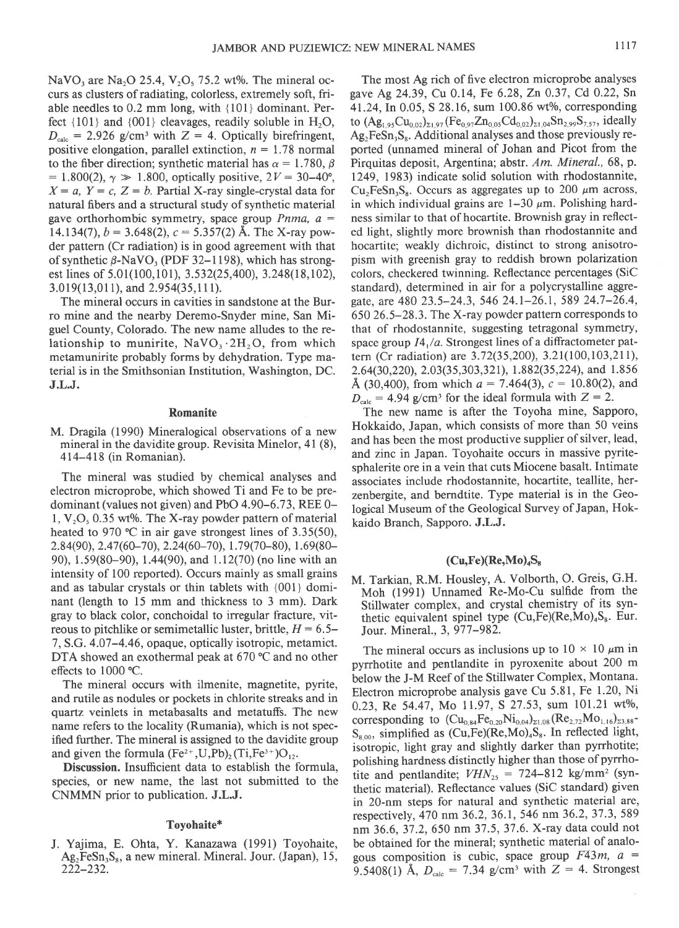NaVO<sub>3</sub> are Na<sub>2</sub>O 25.4, V<sub>2</sub>O<sub>3</sub> 75.2 wt%. The mineral occurs as clusters of radiating, colorless, extremely soft, friable needles to 0.2 mm long, with {l0l} dominant. Perfect  $\{101\}$  and  $\{001\}$  cleavages, readily soluble in  $H_2O$ ,  $D_{\text{calc}}$  = 2.926 g/cm<sup>3</sup> with Z = 4. Optically birefringent, positive elongation, parallel extinction,  $n = 1.78$  normal to the fiber direction; synthetic material has  $\alpha = 1.780$ ,  $\beta$  $= 1.800(2), \gamma \gg 1.800$ , optically positive,  $2V = 30-40^{\circ}$ ,  $X = a$ ,  $Y = c$ ,  $Z = b$ . Partial X-ray single-crystal data for natural fibers and a structural study of synthetic material gave orthorhombic symmetry, space group *Pnma*,  $a =$ 14.134(7),  $b = 3.648(2)$ ,  $c = 5.357(2)$  Å. The X-ray powder pattern (Cr radiation) is in good agreement with that of synthetic  $\beta$ -NaVO<sub>3</sub> (PDF 32–1198), which has strongest lines of 5.01(100,101), 3.532(25,400), 3.248(18,102), 3.019(13,011), and 2.954(35,111).

The mineral occurs in cavities in sandstone at the Burro mine and the nearby Deremo-Snyder mine, San Miguel County, Colorado. The new name alludes to the relationship to munirite,  $NaVO_3.2H_2O$ , from which metamunirite probably forms by dehydration. Type material is in the Smithsonian Institution, Washington, DC. J.L.J.

### Romanite

M. Dragila (1990) Mineralogical observations of a new mineral in the davidite group. Revisita Minelor, 4l (8), 414-418 (in Romanian).

The mineral was studied by chemical analyses and electron microprobe, which showed Ti and Fe to be predominant (values not given) and PbO 4.90-6.73, REE 0-  $1, V, O, 0.35$  wt%. The X-ray powder pattern of material heated to 970 °C in air gave strongest lines of  $3.35(50)$ ,  $2.84(90)$ ,  $2.47(60-70)$ ,  $2.24(60-70)$ ,  $1.79(70-80)$ ,  $1.69(80-$ 90), 1.59(80-90), 1.44(90), and l.l2(70) (no line with an intensity of 100 reported). Occurs mainly as small grains and as tabular crystals or thin tablets with {001} dominant (length to 15 mm and thickness to 3 mm). Dark gray to black color, conchoidal to irregular fracture, vitreous to pitchlike or semimetallic luster, brittle,  $H = 6.5-$ 7, S.G. 4.07-4.46, opaque, optically isotropic, metamict. DTA showed an exothermal peak at 670 °C and no other effects to 1000 °C.

The mineral occurs with ilmenite, magnetite, pyrite, and rutile as nodules or pockets in chlorite streaks and in quartz veinlets in metabasalts and metatuffs. The new name refers to the locality (Rumania), which is not specified further. The mineral is assigned to the davidite group and given the formula  $(Fe^{2+}, U, Pb)_{2}$  (Ti,Fe<sup>3+</sup>)O<sub>12</sub>.

Discussion. Insufficient data to establish the formula, species, or new name, the last not submitted to the CNMMN prior to publication. J.L.J.

# Toyohaite\*

J. Yajima, E. Ohta, Y. Kanazawa (1991) Toyohaite,  $Ag_2FeSn_3S_8$ , a new mineral. Mineral. Jour. (Japan), 15, 222-232.

The most Ag rich of five electron microprobe analyses gave Ag 24.39, Cu 0.14, Fe 6.28, Zn 0.37, Cd 0.22, Sn 41.24, In 0.05, S 28.16, sum 100.86 wt%, corresponding to  $(Ag_{1,95}Cu_{0,02})_{\Sigma1,97}$  (Fe<sub>0.97</sub>Zn<sub>0.05</sub>Cd<sub>0.02</sub>)<sub> $_{21,94}$ </sub>Sn<sub>2,99</sub>S<sub>7.57</sub>, ideally  $Ag<sub>2</sub>FeSn<sub>3</sub>S<sub>8</sub>$ . Additional analyses and those previously reported (unnamed mineral of Johan and Picot from the Pirquitas deposit, Argentina; abstr. Am. Mineral., 68, p. 1249. 1983) indicate solid solution with rhodostannite,  $Cu_2FeSn_3S_8$ . Occurs as aggregates up to 200  $\mu$ m across, in which individual grains are  $1-30 \mu m$ . Polishing hardness similar to that of hocartite. Brownish gray in reflected light, slightly more brownish than rhodostannite and hocartite; weakly dichroic, distinct to strong anisotropism with greenish gray to reddish brown polarization colors, checkered twinning. Reflectance percentages (SiC standard), determined in air for a polycrystalline aggregate, are 480 23.5-24.3, 546 24.1-26.1, 589 24.7-26.4, 650 26.5-28.3. The X-ray powder pattern corresponds to that of rhodostannite, suggesting tetragonal symmetry, space group  $I4_1/a$ . Strongest lines of a diffractometer pattern (Cr radiation) are 3.72(35,200), 3.21(100,103,211), 2.64(30,220), 2.03(35,303,321), 1.882(35,224), and 1.856 Å (30,400), from which  $a = 7.464(3)$ ,  $c = 10.80(2)$ , and  $D_{\text{calc}} = 4.94$  g/cm<sup>3</sup> for the ideal formula with  $Z = 2$ .

The new name is after the Toyoha mine, Sapporo, Hokkaido, Japan, which consists of more than 50 veins and has been the most productive supplier of silver, lead, and zinc in Japan. Toyohaite occurs in massive pyritesphalerite ore in a vein that cuts Miocene basalt. Intimate associates include rhodostannite, hocartite, teallite, herzenbergite, and berndtite. Type material is in the Geological Museum of the Geological Survey of Japan, Hokkaido Branch, Sapporo. J.L.J.

# $(Cu,Fe)(Re,Mo)_{4}S_{8}$

M. Tarkian, R.M. Housley, A. Volborth, O. Greis, G.H. Moh (1991) Unnamed Re-Mo-Cu sulfide from the Stillwater complex, and crystal chemistry of its synthetic equivalent spinel type  $(Cu, Fe)(Re, Mo)<sub>4</sub>S<sub>8</sub>$ . Eur. Jour. Mineral., 3, 977–982.

The mineral occurs as inclusions up to  $10 \times 10 \mu m$  in pyrrhotite and pentlandite in pyroxenite about 200 m below the J-M Reef of the Stillwater Complex, Montana. Electron microprobe analysis gave Cu 5.81, Fe 1.20, Ni 0.23, Re 54.47, Mo 11.97, S 27.53, sum 101.21 wt%, corresponding to  $(Cu_{0.84}Fe_{0.20}Ni_{0.04})_{21.08}(Re_{2.72}Mo_{1.16})_{23.88}$ - $S_{8.00}$ , simplified as  $(Cu,Fe)(Re,Mo)_4S_8$ . In reflected light, isotropic, light gray and slightly darker than pyrrhotite; polishing hardness distinctly higher than those of pyrrhotite and pentlandite;  $VHN_{25} = 724-812$  kg/mm<sup>2</sup> (synthetic material). Reflectance values (SiC standard) given in 20-nm steps for natural and synthetic material are, respectively, 470 nm 36.2, 36.1, 546 nm 36.2, 37.3, 589 nm 36.6. 37 .2, 650 nm 37.5, 37 .6. X-tay data could not be obtained for the mineral; synthetic material of analogous composition is cubic, space group  $F43m$ ,  $a =$ 9.5408(1) Å,  $D_{\text{calc}} = 7.34$  g/cm<sup>3</sup> with Z = 4. Strongest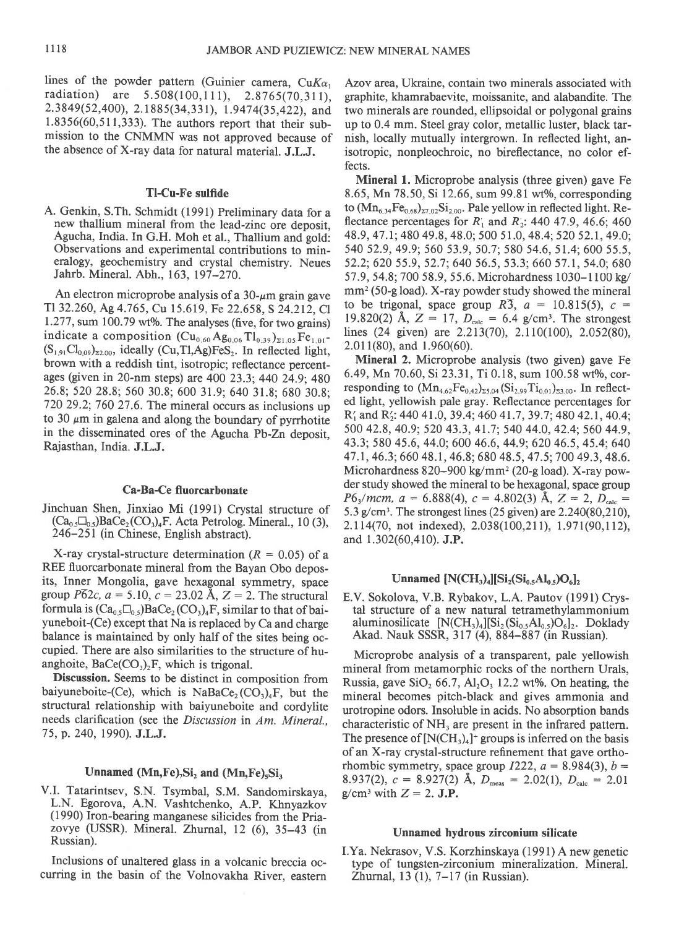lines of the powder pattern (Guinier camera,  $CuK\alpha_1$ radiation) are 5.508(100,1Il), 2.8765(70,311), 2.3849(52,400), 2.1885(34,331), 1.9474(35,422), and 1.8356(60,511,333). The authors report that their submission to the CNMMN was not approved because of the absence of X-ray data for natural material. J.L.J.

## Tl-Cu-Fe sulfide

A. Genkin, S.Th. Schmidt (1991) Preliminary data for a new thallium mineral from the lead-zinc ore deposit, Agucha, India. In G.H. Moh et al., Thallium and gold: Observations and experimental contributions to mineralogy, geochemistry and crystal chemistry. Neues Jahrb. Mineral. Abh., 163, 197–270.

An electron microprobe analysis of a  $30$ - $\mu$ m grain gave T1 32.260, Ag 4.765, Cu 15.619, Fe 22.658, S 24.212, Cl  $1.277$ , sum  $100.79$  wt%. The analyses (five, for two grains) indicate a composition  $(Cu_{0.60}Ag_{0.06}Tl_{0.39})_{z1.05}Fe_{1.01}$ - $(S_{1,91}Cl_{0.09})_{\text{z2.00}}$ , ideally (Cu,Tl,Ag)FeS<sub>2</sub>. In reflected light, brown with a reddish tint, isotropic; reflectance percentages (given in 20-nm steps) are 400 23.3; 440 24.9; 480 26.8;520 28.8; 560 30.8; 600 31.9;640 31.8; 680 30.8; 7 20 29 .2; 7 60 27 .6. The mineral occurs as inclusions up to 30  $\mu$ m in galena and along the boundary of pyrrhotite in the disseminated ores of the Agucha Pb-Zn deposit, Rajasthan, India. J.L.J.

#### Ca-Ba-Ce fluorcarbonate

Jinchuan Shen, Jinxiao Mi (1991) Crystal structure of  $(Ca<sub>0.5</sub>\square<sub>0.5</sub>)BaCe<sub>2</sub>(CO<sub>3</sub>)<sub>4</sub>F. Acta Petrolog. Mineral., 10 (3),$ 246-251 (in Chinese, English abstract).

X-ray crystal-structure determination ( $R = 0.05$ ) of a REE fluorcarbonate mineral from the Bayan Obo deposits, Inner Mongolia, gave hexagonal symmetry, space group  $\overline{P62c}$ ,  $a = 5.10$ ,  $c = 23.02$  Å,  $Z = 2$ . The structural formula is  $(Ca_{0.5}\square_{0.5})BaCe_{2}(CO_{3})_4F$ , similar to that of baiyuneboit-(Ce) except that Na is replaced by Ca and charge balance is maintained by only half of the sites being occupied. There are also similarities to the structure of huanghoite,  $BaCe(CO<sub>3</sub>)<sub>2</sub>F$ , which is trigonal.

Discussion. Seems to be distinct in composition from baiyuneboite-(Ce), which is NaBaCe,  $(CO<sub>3</sub>)<sub>4</sub>F$ , but the structural relationship with baiyuneboite and cordylite needs clarification (see the Discussion in Am. Mineral., 75, p.240, 1990). J.L.J.

# Unnamed  $(Mn,Fe)_7Si_2$  and  $(Mn,Fe)_5Si_3$

V.I. Tatarintsev, S.N. Tsymbal, S.M. Sandomirskaya, L.N. Egorova, A.N. Vashtchenko, A.p. Khnyazkov (1990) Iron-bearing manganese silicides from the priazovye (USSR). Mineral. Zhurnal, 12 (6), 35-43 (in Russian).

Inclusions of unaltered glass in a volcanic breccia occurring in the basin of the Volnovakha River, eastern Azov area. Ukraine. contain two minerals associated with graphite, khamrabaevite, moissanite, and alabandite. The two minerals are rounded, ellipsoidal or polygonal grains up to 0.4 mm. Steel gray color, metallic luster, black tarnish, locally mutually intergrown. In reflected light, anisotropic, nonpleochroic, no bireflectance, no color effects.

Mineral 1. Microprobe analysis (three given) gave Fe 8.65, Mn 78.50, Si 12.66, sum 99.81 wt%, corresponding to  $(Mn_{6,34}Fe_{0,68})_{\Sigma7,02}Si_{2,00}$ . Pale yellow in reflected light. Reflectance percentages for  $R_1$  and  $R_2$ : 440 47.9, 46.6; 460 48.9, 47 .l;480 49.8, 48.0; 500 51.0, 48.4; 520 52.1, 49.0; 540 52.9,49.9;560 53.9,50.7;580 54.6, 51.4; 600 55.5, 52.2; 620 55.9, 52.7; 640 56.5,53.3; 660 57.1, 54.0; 680 57.9, 54.8; 700 58.9, 55.6. Microhardness 1030-1100 kg/  $mm<sup>2</sup>$  (50-g load). X-ray powder study showed the mineral to be trigonal, space group  $R\overline{3}$ ,  $a = 10.815(5)$ ,  $c =$ 19.820(2) Å,  $Z = 17$ ,  $D_{\text{calc}} = 6.4$  g/cm<sup>3</sup>. The strongest lines (24 given) are 2.213(70), 2.110(100), 2.052(80), 2.01 l(80), and 1.960(60).

Mineral 2. Microprobe analysis (two given) gave Fe 6.49, Mn 70.60, Si 23.31, Ti 0.18, sum 100.58 wt%, corresponding to  $(Mn_{4.62}Fe_{0.42})_{25.04} (Si_{2.99}Ti_{0.01})_{23.00}$ . In reflected light, yellowish pale gray. Reflectance percentages for R<sub>1</sub> and R<sub>2</sub>: 440 41.0, 39.4; 460 41.7, 39.7; 480 42.1, 40.4; 500 42.8, 40.9; 520 43.3, 41.7; 540 44.0,42.4; 560 44.9, 43.3; 580 45.6, 44.0; 600 46.6, 44.9; 620 46.5, 45.4; 640 47.1, 46.3; 660 48.1, 46.8; 680 48.5, 47.5; 700 49.3, 48.6. Microhardness 820-900 kg/mm<sup>2</sup> (20-g load). X-ray powder study showed the mineral to be hexagonal, space group  $P6<sub>3</sub>/mcm, a = 6.888(4), c = 4.802(3)$  Å,  $Z = 2, D<sub>calc</sub>$ 5.3 g/cm<sup>3</sup>. The strongest lines (25 given) are  $2.240(80,210)$ , 2.114(70, not indexed), 2.038(100,211), 1.971(90,112), and 1.302(60,410). J.P.

# Unnamed  $[N(CH_3)_4][Si_2(Si_{0.5}Al_{0.5})O_6]_2$

E.V. Sokolova, V.B. Rybakov, L.A. Pautov (1991) Crystal structure of a new natural tetramethylammonium aluminosilicate  $[N(CH_3)_4][Si_2(Si_0, Al_0,0)_2]$ . Doklady Akad. Nauk SSSR, 317 (4), 884-887 (in Russian).

Microprobe analysis of a transparent, pale yellowish mineral from metamorphic rocks of the northern Urals, Russia, gave  $SiO<sub>2</sub> 66.7$ ,  $Al<sub>2</sub>O<sub>3</sub> 12.2$  wt%. On heating, the mineral becomes pitch-black and gives ammonia and urotropine odors. Insoluble in acids. No absorption bands characteristic of NH, are present in the infrared pattern. The presence of  $[N(CH_3)_4]^+$  groups is inferred on the basis of an X-ray crystal-structure refinement that gave orthorhombic symmetry, space group  $I222$ ,  $a = 8.984(3)$ ,  $b =$ 8.937(2),  $c = 8.927(2)$  Å,  $D_{\text{meas}} = 2.02(1)$ ,  $D_{\text{calc}} = 2.01$  $g/cm^3$  with  $Z=2$ . J.P.

#### Unnamed hydrous zirconium silicate

I.Ya. Nekrasov, V.S. Korzhinskaya (1991) A new genetic type of tungsten-zirconium mineralization. Mineral. Zhurnal, 13 (1), 7-17 (in Russian).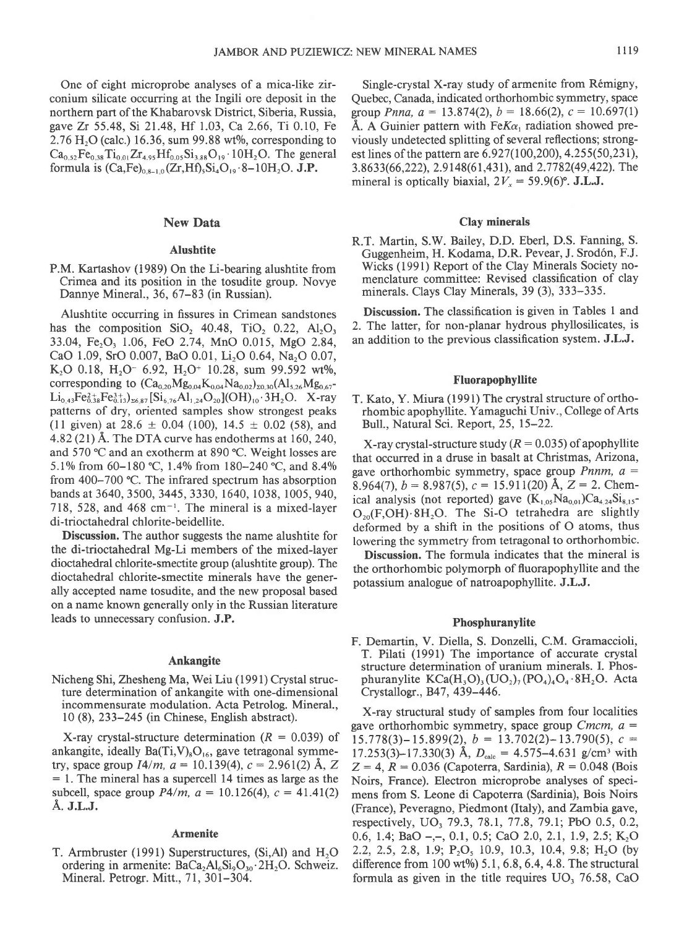One of eight microprobe analyses of a mica-like zirconium silicate occurring at the Ingili ore deposit in the northern part of the Khabarovsk District, Siberia, Russia, gave Zr 55.48, Si 21.48, Hf 1.03, Ca 2.66, Ti 0.10, Fe  $2.76$  H<sub>2</sub>O (calc.) 16.36, sum 99.88 wt%, corresponding to  $Ca_{0.52}Fe_{0.38}Ti_{0.01}Zr_{4.95}Hf_{0.05}Si_{3.88}O_{19}\cdot 10H_2O$ . The general formula is  $(Ca,Fe)_{0.8-1.0} (Zr,Hf)_{5}Si_4O_{19} \cdot 8-10H_2O$ . J.P.

# New Data

#### Alushtite

P.M. Kartashov (1989) On the Li-bearing alushtite from Crimea and its position in the tosudite group. Novye Dannye Mineral., 36,67-83 (in Russian).

Alushtite occurring in fissures in Crimean sandstones has the composition  $SiO<sub>2</sub>$  40.48, TiO<sub>2</sub> 0.22, Al<sub>2</sub>O<sub>3</sub> 33.04, Fe<sub>2</sub>O<sub>3</sub> 1.06, FeO 2.74, MnO 0.015, MgO 2.84, CaO 1.09, SrO 0.007, BaO 0.01, Li<sub>2</sub>O 0.64, Na<sub>2</sub>O 0.07, K<sub>2</sub>O 0.18, H<sub>2</sub>O<sup>-</sup> 6.92, H<sub>2</sub>O<sup>+</sup> 10.28, sum 99.592 wt%, corresponding to  $(Ca_{0.20}Mg_{0.04}K_{0.04}Na_{0.02})_{z0.30}(Al_{5.26}Mg_{0.67}$  $Li_{0.43}Fe_{0.38}^{2+}Fe_{0.13}^{3+}C_{26.87} [Si_{6.76}Al_{1.24}O_{20}](OH)_{10}.3H_2O.$  X-ray patterns of dry, oriented samples show strongest peaks (11 given) at  $28.6 \pm 0.04$  (100),  $14.5 \pm 0.02$  (58), and 4.82 (21) A. The DTA curve has endotherms at 160, 240, and 570 °C and an exotherm at 890 °C. Weight losses are 5.1% from 60-180 °C, 1.4% from 180-240 °C, and 8.4% from 400-700 "C. The infrared spectrum has absorption bands at 3640, 3500, 3445, 3330, 1640, 1038, 1005, 940, 718, 528, and 468 cm $^{-1}$ . The mineral is a mixed-layer di-trioctahedral chlorite-beidellite.

Discussion. The author suggests the name alushtite for the di-trioctahedral Mg-Li members of the mixed-layer dioctahedral chlorite-smectite group (alushtite group). The dioctahedral chlorite-smectite minerals have the generally accepted name tosudite, and the new proposal based on a name known generally only in the Russian literature leads to unnecessary confusion. J.P.

#### Ankangite

Nicheng Shi, Zhesheng Ma, Wei Liu (1991) Crystal structure determination of ankangite with one-dimensional incommensurate modulation. Acta Petrolog. Mineral., l0 (8),233-245 (in Chinese, English abstract).

X-ray crystal-structure determination ( $R = 0.039$ ) of ankangite, ideally  $Ba(Ti,V)_{8}O_{16}$ , gave tetragonal symmetry, space group  $I4/m$ ,  $a = 10.139(4)$ ,  $c = 2.961(2)$  Å, Z  $= 1$ . The mineral has a supercell 14 times as large as the subcell, space group  $P4/m$ ,  $a = 10.126(4)$ ,  $c = 41.41(2)$ Å. **J.L.J.** 

# Armenite

T. Armbruster (1991) Superstructures, (Si,Al) and  $H_2O$ ordering in armenite:  $BaCa<sub>2</sub>Al<sub>6</sub>Si<sub>9</sub>O<sub>30</sub>·2H<sub>2</sub>O$ . Schweiz. Mineral. Petrogr. Mitt., 71, 301-304.

Single-crystal X-ray study of armenite from Rémigny, Quebec, Canada, indicated orthorhombic symmetry, space group Pnna,  $a = 13.874(2)$ ,  $b = 18.66(2)$ ,  $c = 10.697(1)$ Å. A Guinier pattern with Fe $K\alpha_1$  radiation showed previously undetected splitting of several reflections; strongest lines of the pattern are 6.927(100,200), 4.255(50,231), 3.8633(66,222), 2.9148(61,431), and 2.7782(49,422). The mineral is optically biaxial,  $2V_r = 59.9(6)$ °. J.L.J.

# Clay minerals

R.T. Martin, S.W. Bailey, D.D. Eberl, D.S. Fanning, S. Guggenheim, H. Kodama, D.R. Pevear, J. Srod6n, F.J. Wicks (1991) Report of the Clay Minerals Society nomenclature committee: Revised classification of clay minerals. Clays Clay Minerals, 39 (3), 333-335.

Discussion. The classification is given in Tables 1 and 2. The latter, for non-planar hydrous phyllosilicates, is an addition to the previous classification system. J.L.J.

## Fluorapophyllite

T. Kato, Y. Miura (1991) The crystral structure of orthorhombic apophyllite. Yamaguchi Univ., College of Arts Bull., Natural Sci. Report, 25, 15-22.

X-ray crystal-structure study ( $R = 0.035$ ) of apophyllite that occurred in a druse in basalt at Christmas, Arizona, gave orthorhombic symmetry, space group *Pnnm*,  $a =$ 8.964(7),  $b=8.987(5)$ ,  $c=15.911(20)$  Å,  $Z=2$ . Chemical analysis (not reported) gave  $(K_{1,05}Na_{0,01})Ca_{4,24}Si_{8,15}$ - $O_{20}(F, OH) \cdot 8H_2O$ . The Si-O tetrahedra are slightly deformed by a shift in the positions of O atoms, thus lowering the symmetry from tetragonal to orthorhombic.

Discussion. The formula indicates that the mineral is the orthorhombic polymorph of fluorapophyllite and the potassium analogue of natroapophyllite. J.L.J.

### Phosphuranylite

F. Demartin, V. Diella, S. Donzelli, C.M. Gramaccioli, T. Pilati (1991) The importance of accurate crystal structure determination of uranium minerals. I. Phosphuranylite  $KCa(H_3O)$ ,  $(UO_2)$ ,  $(PO_4)$ <sub>4</sub> $O_4 \cdot 8H_2O$ . Acta Crystallogr., 847, 439-446.

X-ray structural study of samples from four localities gave orthorhombic symmetry, space group Cmcm,  $a =$  $15.778(3) - 15.899(2)$ ,  $b = 13.702(2) - 13.790(5)$ ,  $c =$ 17.253(3)-17.330(3) Å,  $D_{\text{calc}} = 4.575 - 4.631$  g/cm<sup>3</sup> with  $Z = 4$ ,  $R = 0.036$  (Capoterra, Sardinia),  $R = 0.048$  (Bois Noirs, France). Electron microprobe analyses of specimens from S. Leone di Capoterra (Sardinia), Bois Noirs (France), Peveragno, Piedmont (Italy), and, Zambia gave, respectively, UO<sub>3</sub> 79.3, 78.1, 77.8, 79.1; PbO 0.5, 0.2, 0.6, 1.4; BaO -,-, 0.1, 0.5; CaO 2.0, 2.1, 1.9, 2.5; K<sub>2</sub>O 2.2, 2.5, 2.8, 1.9; P,O, 10.9, 10.3, 10.4, 9.8; H,O (by difference from  $100 \text{ wt\%}$ ) 5.1, 6.8, 6.4, 4.8. The structural formula as given in the title requires UO, 76.58, CaO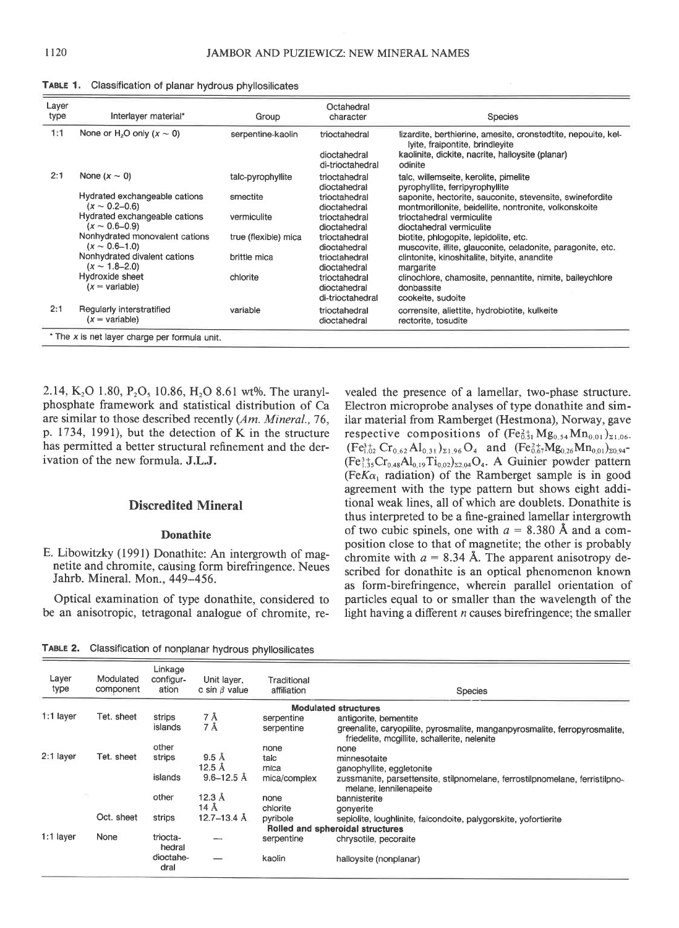| Layer<br>type                                 | Interlayer material*                                   | Group                | Octahedral<br>character                           | <b>Species</b>                                                                                                                                                  |  |  |  |  |
|-----------------------------------------------|--------------------------------------------------------|----------------------|---------------------------------------------------|-----------------------------------------------------------------------------------------------------------------------------------------------------------------|--|--|--|--|
| 1:1                                           | None or H <sub>2</sub> O only $(x \sim 0)$             | serpentine-kaolin    | trioctahedral<br>dioctahedral<br>di-trioctahedral | lizardite, berthierine, amesite, cronstedtite, nepouite, kel-<br>lyite, fraipontite, brindleyite<br>kaolinite, dickite, nacrite, halloysite (planar)<br>odinite |  |  |  |  |
| 2:1                                           | None $(x \sim 0)$                                      | talc-pyrophyllite    | trioctahedral<br>dioctahedral                     | talc, willemseite, kerolite, pimelite<br>pyrophyllite, ferripyrophyllite                                                                                        |  |  |  |  |
|                                               | Hydrated exchangeable cations<br>$(x \sim 0.2 - 0.6)$  | smectite             | trioctahedral<br>dioctahedral                     | saponite, hectorite, sauconite, stevensite, swinefordite<br>montmorillonite, beidellite, nontronite, volkonskoite                                               |  |  |  |  |
|                                               | Hydrated exchangeable cations<br>$(x \sim 0.6 - 0.9)$  | vermiculite          | trioctahedral<br>dioctahedral                     | trioctahedral vermiculite<br>dioctahedral vermiculite                                                                                                           |  |  |  |  |
|                                               | Nonhydrated monovalent cations<br>$(x \sim 0.6 - 1.0)$ | true (flexible) mica | trioctahedral<br>dioctahedral                     | biotite, phlogopite, lepidolite, etc.<br>muscovite, illite, glauconite, celadonite, paragonite, etc.                                                            |  |  |  |  |
|                                               | Nonhydrated divalent cations<br>$(x \sim 1.8 - 2.0)$   | brittle mica         | trioctahedral<br>dioctahedral                     | clintonite, kinoshitalite, bityite, anandite<br>margarite                                                                                                       |  |  |  |  |
|                                               | Hydroxide sheet<br>$(x = variable)$                    | chlorite             | trioctahedral<br>dioctahedral<br>di-trioctahedral | clinochlore, chamosite, pennantite, nimite, baileychlore<br>donbassite<br>cookeite, sudoite                                                                     |  |  |  |  |
| 2:1                                           | Regularly interstratified<br>$(x = \text{variable})$   | variable             | trioctahedral<br>dioctahedral                     | corrensite, aliettite, hydrobiotite, kulkeite<br>rectorite, tosudite                                                                                            |  |  |  |  |
| * The x is net layer charge per formula unit. |                                                        |                      |                                                   |                                                                                                                                                                 |  |  |  |  |

TABLE 1. Classification of planar hydrous phyllosilicates

2.14, K<sub>2</sub>O 1.80, P<sub>2</sub>O<sub>5</sub> 10.86, H<sub>2</sub>O 8.61 wt%. The uranylphosphate framework and statistical distribution of Ca are similar to those described recently (Am. Mineral.,76, p. 1734, 1991), but the detection of K in the structure has permitted a better structural refinement and the derivation of the new formula. J.L.J.

# Discredited Mineral

# Donathite

E. Libowitzky (1991) Donathite: An intergrowth of magnetite and chromite, causing form birefringence. Neues Jahrb. Mineral. Mon., 449-456.

Optical examination of type donathite, considered to be an anisotropic, tetragonal analogue of chromite, revealed the presence of a lamellar, two-phase structure. Electron microprobe analyses of type donathite and similar material from Ramberget (Hestmona), Norway, gave respective compositions of  $(Fe<sub>0.51</sub><sup>2+</sup> Mg<sub>0.54</sub> Mn<sub>0.01</sub>)<sub>21.06</sub>$  $(Fe_{1,02}^{3+} Cr_{0.62}Al_{0.31})_{\Sigma1.96}O_4$  and  $(Fe_{0.67}^{2+}Mg_{0.26}Mn_{0.01})_{\Sigma0.94}$  $(Fe_{1.35}^{3+}Cr_{0.48}Al_{0.19}Ti_{0.02})_{22.04}O_4$ . A Guinier powder pattern (Fe $K\alpha_1$  radiation) of the Ramberget sample is in good agreement with the type pattern but shows eight additional weak lines, all of which are doublets. Donathite is thus interpreted to be a fine-grained lamellar intergrowth of two cubic spinels, one with  $a = 8.380$  Å and a composition close to that of magnetite; the other is probably chromite with  $a = 8.34$  Å. The apparent anisotropy described for donathite is an optical phenomenon known as form-birefringence, wherein parallel orientation of particles equal to or smaller than the wavelength of the light having a different  $n$  causes birefringence; the smaller

TABLE 2. Classification of nonplanar hydrous phyllosilicates

| Layer<br>type                    | Modulated<br>component | Linkage<br>configur-<br>ation | Unit layer,<br>c sin $\beta$ value | Traditional<br>affiliation | Species                                                                                                                    |  |  |
|----------------------------------|------------------------|-------------------------------|------------------------------------|----------------------------|----------------------------------------------------------------------------------------------------------------------------|--|--|
| <b>Modulated structures</b>      |                        |                               |                                    |                            |                                                                                                                            |  |  |
| $1:1$ layer                      | Tet. sheet             | strips                        | 7 Å                                | serpentine                 | antigorite, bementite                                                                                                      |  |  |
|                                  |                        | islands                       | 7 Å                                | serpentine                 | greenalite, caryopilite, pyrosmalite, manganpyrosmalite, ferropyrosmalite,<br>friedelite, mcgillite, schallerite, nelenite |  |  |
|                                  |                        | other                         |                                    | none                       | none                                                                                                                       |  |  |
| 2:1 layer                        | Tet. sheet             | strips                        | $9.5 \text{ Å}$                    | talc                       | minnesotaite                                                                                                               |  |  |
|                                  |                        |                               | 12.5 $\AA$                         | mica                       | ganophyllite, eggletonite                                                                                                  |  |  |
|                                  |                        | islands                       | $9.6 - 12.5$ Å                     | mica/complex               | zussmanite, parsettensite, stilpnomelane, ferrostilpnomelane, ferristilpno-<br>melane, lennilenapeite                      |  |  |
|                                  |                        | other                         | $12.3 \text{ Å}$                   | none                       | bannisterite                                                                                                               |  |  |
|                                  |                        |                               | $14 \text{ Å}$                     | chlorite                   | gonyerite                                                                                                                  |  |  |
|                                  | Oct. sheet             | strips                        | $12.7 - 13.4$ Å                    | pyribole                   | sepiolite, loughlinite, falcondoite, palygorskite, yofortierite                                                            |  |  |
| Rolled and spheroidal structures |                        |                               |                                    |                            |                                                                                                                            |  |  |
| $1:1$ layer                      | None                   | triocta-<br>hedral            |                                    | serpentine                 | chrysotile, pecoraite                                                                                                      |  |  |
|                                  |                        | dioctahe-<br>dral             |                                    | kaolin                     | halloysite (nonplanar)                                                                                                     |  |  |